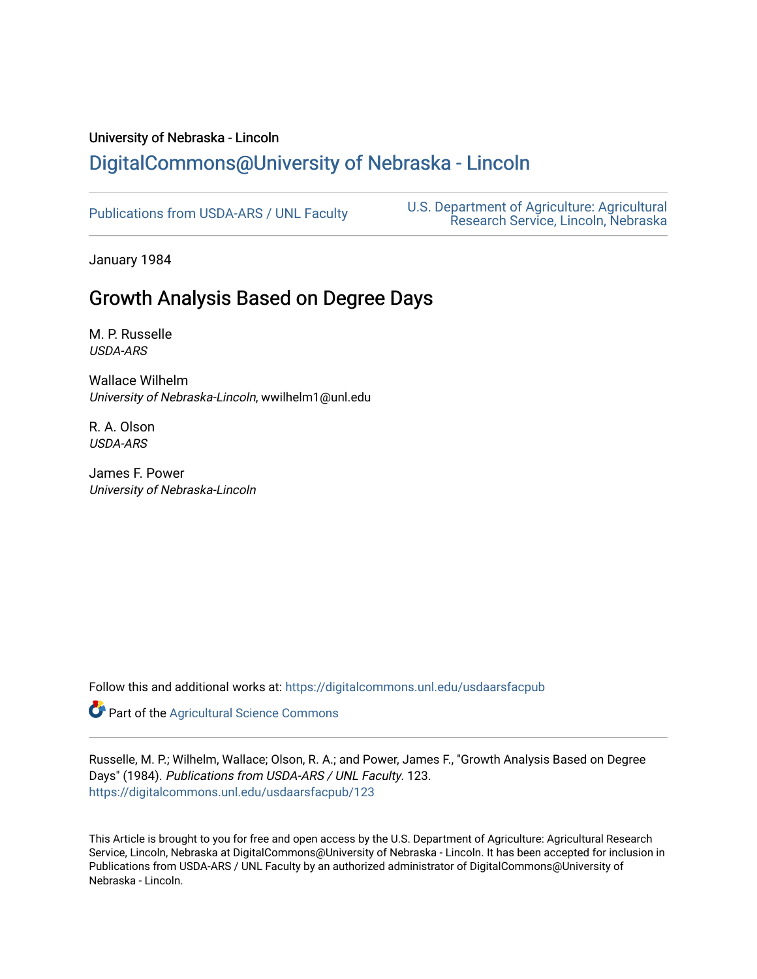# University of Nebraska - Lincoln [DigitalCommons@University of Nebraska - Lincoln](https://digitalcommons.unl.edu/)

[Publications from USDA-ARS / UNL Faculty](https://digitalcommons.unl.edu/usdaarsfacpub) [U.S. Department of Agriculture: Agricultural](https://digitalcommons.unl.edu/usdaars)  [Research Service, Lincoln, Nebraska](https://digitalcommons.unl.edu/usdaars) 

January 1984

# Growth Analysis Based on Degree Days

M. P. Russelle USDA-ARS

Wallace Wilhelm University of Nebraska-Lincoln, wwilhelm1@unl.edu

R. A. Olson USDA-ARS

James F. Power University of Nebraska-Lincoln

Follow this and additional works at: [https://digitalcommons.unl.edu/usdaarsfacpub](https://digitalcommons.unl.edu/usdaarsfacpub?utm_source=digitalcommons.unl.edu%2Fusdaarsfacpub%2F123&utm_medium=PDF&utm_campaign=PDFCoverPages)

Part of the [Agricultural Science Commons](http://network.bepress.com/hgg/discipline/1063?utm_source=digitalcommons.unl.edu%2Fusdaarsfacpub%2F123&utm_medium=PDF&utm_campaign=PDFCoverPages)

Russelle, M. P.; Wilhelm, Wallace; Olson, R. A.; and Power, James F., "Growth Analysis Based on Degree Days" (1984). Publications from USDA-ARS / UNL Faculty. 123. [https://digitalcommons.unl.edu/usdaarsfacpub/123](https://digitalcommons.unl.edu/usdaarsfacpub/123?utm_source=digitalcommons.unl.edu%2Fusdaarsfacpub%2F123&utm_medium=PDF&utm_campaign=PDFCoverPages)

This Article is brought to you for free and open access by the U.S. Department of Agriculture: Agricultural Research Service, Lincoln, Nebraska at DigitalCommons@University of Nebraska - Lincoln. It has been accepted for inclusion in Publications from USDA-ARS / UNL Faculty by an authorized administrator of DigitalCommons@University of Nebraska - Lincoln.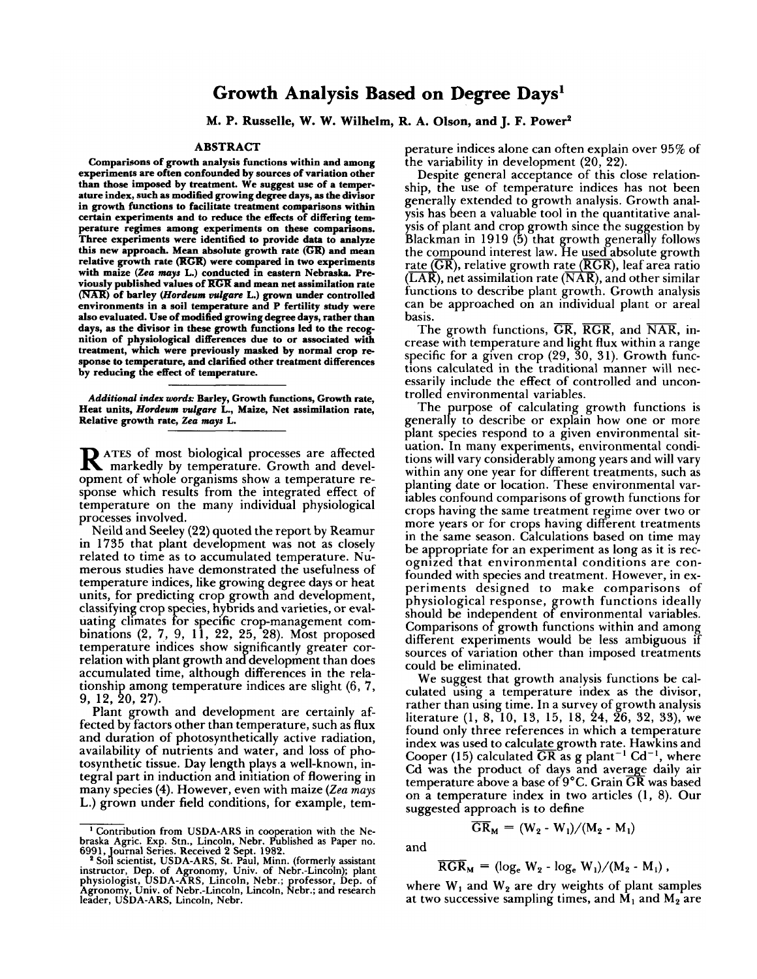## **Growth Analysis Based on Degree Days1**

**M. P. Russelle, W. W. Wilhelm, R. A. Olson, and J. F. Power4** 

### **ABSTRACT**

**Comparisons of growth analysis functions within and among experiments are often confounded by sources of variation other than those imposed by treatment. we suggest use of a temperature index, such as modified growing degree days, as the divisor in growth functions to facilitate treatment comparisons within certain experiments and to reduce the effects of differing temperature regimes among experiments on these comparisons. Three experiments were identified to provide data to analyze the contribution of the control of the comparature regimes among experiments on these comparisons.**<br>Three experiments were identified to provide data to analyze<br>this new approach. Mean absolute growth rate (GR) and mean<br>r **with maize** *(Zea mays* L.) **conducted in eastern Nebraska. Previously published values of KCR and mean net assimilation rate**  this new approach. Mean absolute growth rate (GK) and mean<br>relative growth rate (RGR) were compared in two experiments<br>with maize (Zea mays L.) conducted in eastern Nebraska. Pre-<br>viously published values of RGR and mean n **environments in a soil temperature and P fertility study were also evaluated. Use of modified growing degree days, rather than days, as the divisor in these growth functions led to the recognition of physiological differences due to or associated with treatment, which were previously masked by normal crop re- sponse to temperature, and clarified other treatment differences by reducing the effect of temperature.** 

*Additional index* word^ **Barley, Growth functions, Growth rate, Heat units,** *Hordeum vulgare* L., **Maize, Net assimilation rate, Relative growth rate,** *Zea mays* L.

**R** ATES of most biological processes are affected markedly by temperature. Growth and development of whole organisms show a temperature response which results from the integrated effect of temperature on the many individual physiological processes involved.

Neild and Seeley (22) quoted the report by Reamur in 1735 that plant development was not as closely related to time as to accumulated temperature. Numerous studies have demonstrated the usefulness of temperature indices, like growing degree days or heat units, for predicting crop growth and development, classifying crop species, hybrids and varieties, or evaluating climates For specific crop-management combinations (2, 7, 9, 11, 22, 25, 28). Most proposed temperature indices show significantly greater correlation with plant growth and development than does accumulated time, although differences in the relationship among temperature indices are slight  $(6, 7, 7)$ 9, 12, 20, 27).

Plant growth and development are certainly affected by factors other than temperature, such as flux and duration of photosynthetically active radiation, availability of nutrients and water, and loss of photosynthetic tissue. Day length plays a well-known, integral part in induction and initiation of flowering in many species (4). However, even with maize (Zea mays L.) grown under field conditions, for example, temsynthetic tissue. Bay length plays a weil-kilowit, in-<br>gral part in induction and initiation of flowering in<br>any species (4). However, even with maize (Zea mays<br>on a temperature index in two articles (<br>ontribution from US

perature indices alone can often explain over 95% of the variability in development (20, 22).

Despite general acceptance of this close relationship, the use of temperature indices has not been generally extended to growth analysis. Growth analysis has been a valuable tool in the quantitative analysis of plant and crop growth since the suggestion by Blackman in 1919 (5) that growth generally follows the compound interest law. He used absolute growth rate ( $\overline{GR}$ ), relative growth rate ( $\overline{RGR}$ ), leaf area ratio  $(\overline{LAR})$ , net assimilation rate  $(\overline{NAR})$ , and other similar functions to describe plant growth. Growth analysis can be approached on an individual plant or areal basis.

The growth functions,  $\overline{GR}$ ,  $\overline{RGR}$ , and  $\overline{NAR}$ , increase with temperature and light flux within a range specific for a given crop  $(29, 30, 31)$ . Growth functions calculated in the traditional manner will necessarily include the effect of controlled and uncontrolled environmental variables.

The purpose of calculating growth functions is generally to describe or explain how one or more plant species respond to a given environmental situation. In many experiments, environmental conditions will vary considerably among years and will vary within any one year for different treatments, such as planting date or location. These environmental variables confound comparisons of growth functions for crops having the same treatment regime over two or more years or for crops having different treatments in the same season. Calculations based on time may be appropriate for an experiment as long as it is recognized that environmental conditions are confounded with species and treatment. However, in experiments designed to make comparisons of physiological response, growth functions ideally should be independent of environmental variables. should be independent of environmental variables.<br>Comparisons of growth functions within and among different experiments would be less ambiguous if sources of variation other than imposed treatments could be eliminated.

We suggest that growth analysis functions be calculated using a temperature index as the divisor, rather than using time. In a survey of growth analysis literature  $(1, 8, 10, 13, 15, 18, 24, 26, 32, 33)$ , we found only three references in which a temperature index was used to calculategrowth rate. Hawkins and Cooper (15) calculated  $\overline{GR}$  as g plant<sup>-1</sup> Cd<sup>-1</sup>, where Cd was the product of days and average daily air temperature above a base of  $9^{\circ}$ C. Grain  $\overline{\mathrm{GR}}$  was based on a temperature index in two articles  $(1, 8)$ . Our

$$
\overline{SR}_M = (W_2 - W_1)/(M_2 - M_1)
$$

$$
\overline{\text{RGR}}_{\text{M}} = (\log_{\text{e}} W_2 - \log_{\text{e}} W_1) / (M_2 - M_1),
$$

Agronomy, Univ. of Nebr.-Lincoln, Lincoln, Nebr.; and research where W<sub>1</sub> and W<sub>2</sub> are dry weights of plant samples in the M<sub>2</sub> are dry weights of plant samples in the M<sub>2</sub> are two successive sampling times, and M<sub>1</sub> and

braska Agric. Exp. Stn., Lincoln, Nebr. Published as Paper no.<br>6991, Journal Series. Received 2 Sept. 1982.<br>"Soil scientist, USDA-ARS, St. Paul, Minn. (formerly assistant<br>instructor, Dep. of Agronomy, Univ. of Nebr.-Linco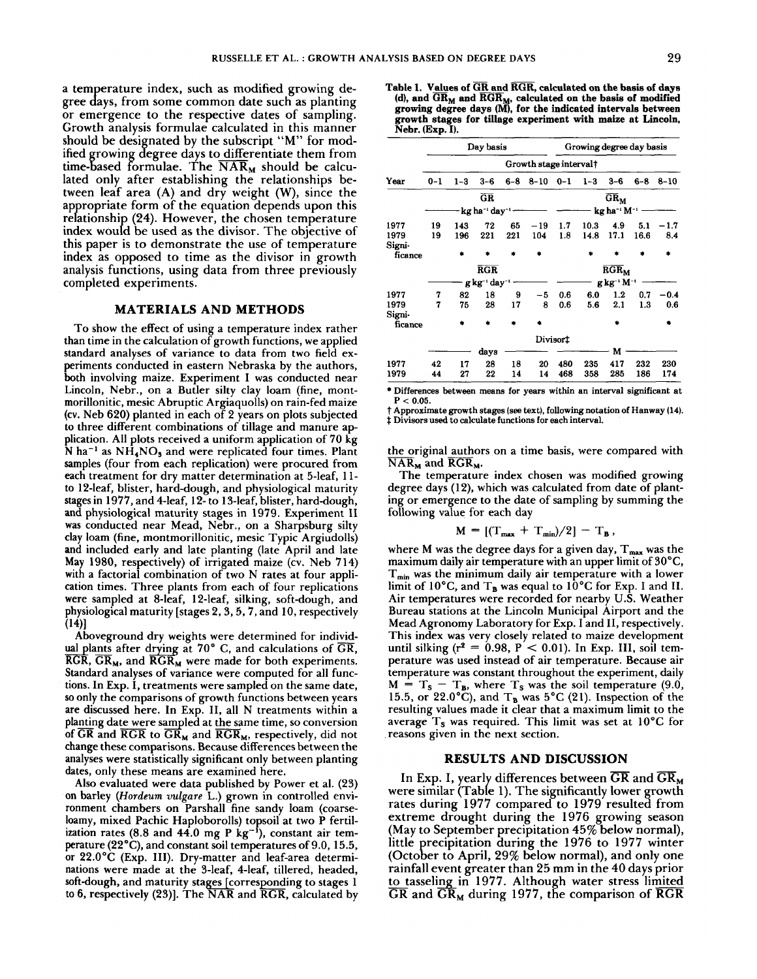a temperature index, such as modified growing degree days, from some common date such as planting or emergence to the respective dates of sampling. Growth analysis formulae calculated in this manner should be designated by the subscript "M" for modified growing degree days to differentiate them from  $time$ -based formulae. The  $\overline{NAR}_{M}$  should be calculated only after establishing the relationships between leaf area (A) and dry weight (W), since the appropriate form of the equation depends upon this relationship (24). However, the chosen temperature index would be used as the divisor. The objective of this paper is to demonstrate the use of temperature index as opposed to time as the divisor in growth analysis functions, using data from three previously completed experiments.

### **MATERIALS AND METHODS**

To show the effect of using a temperature index rather than time in the calculation of growth functions, we applied standard analyses of variance to data from two field experiments conducted in eastern Nebraska by the authors, both involving maize. Experiment I was conducted near Lincoln, Nebr., on a Butler silty clay loam (fine, montmorillonitic, mesic Abruptic Argiaquolls) on rain-fed maize (cv. Neb 620) planted in each of 2 years on plots subjected to three different combinations of tillage and manure application. All plots received a uniform application of 70 kg N ha<sup>-1</sup> as NH<sub>4</sub>NO<sub>3</sub> and were replicated four times. Plant samples (four from each replication) were procured from each treatment for dry matter determination at 5-leaf, 11 to 12-leaf, blister, hard-dough, and physiological maturity stages in 1977, and 4-leaf, 12- to 13-leaf, blister, hard-dough, and physiological maturity stages in 1979. Experiment I1 was conducted near Mead, Nebr., on a Sharpsburg silty clay loam (fine, montmorillonitic, mesic Typic Argiudolls) and included early and late planting (late April and late May 1980, respectively) of irrigated maize (cv. Neb 714) with a factorial combination of two N rates at four application times. Three plants from each of four replications were sampled at 8-leaf, 12-leaf, silking, soft-dough, and physiological maturity [stages 2,3,5,7, and 10, respectively  $(14)$ 

Aboveground dry weights were determined for individual plants after drying at 70 $^{\circ}$  C, and calculations of  $\overline{GR}$ , RGR,  $GR_M$ , and  $RGR_M$  were made for both experiments. Standard analyses of variance were computed for all functions. In Exp. I, treatments were sampled on the same date, so only the comparisons of growth functions between years are discussed here. In Exp. 11, all N treatments within a planting date were sampled at the same time, so conversion of GR and RGR to GR<sub>M</sub> and RGR<sub>M</sub>, respectively, did not of  $\overline{GR}$  and  $\overline{RGR}$  to  $\overline{GR}_M$  and  $\overline{RGR}_M$ , respectively, did not change these comparisons. Because differences between the analyses were statistically significant only between planting dates, only these means are examined here.

Also evaluated were data published by Power et al. (23) on barley (Hordeum vulgare L.) grown in controlled environment chambers on Parshall fine sandy loam (coarseloamy, mixed Pachic Haploborolls) topsoil at two P fertilization rates (8.8 and 44.0 mg P kg<sup>-1</sup>), constant air temperature (22"C), and constant soil temperatures of 9.0, 15.5, or 22.0°C (Exp. 111). Dry-matter and leaf-area determinations were made at the 3-leaf, 4-leaf, tillered, headed, soft-dough, and maturity stages [corresponding to stages 1 to 6, respectively (23)]. The  $\overline{\text{NAR}}$  and  $\overline{\text{RGR}}$ , calculated by

Table 1. Values of  $\overline{\text{GR}}$  and  $\overline{\text{RGR}}$ , calculated on the basis of days **(dl, and GRM and RGRM, calculated on the basis of modified growing degree days (M), for the indicated intervals between growth stages for tillage experiment with maize at Lincoln, Nebr. (Exp. I).** 

|                   |                                           |           | Day basis               |     |                                      |                                    | Growing degree day basis              |         |         |          |  |  |  |
|-------------------|-------------------------------------------|-----------|-------------------------|-----|--------------------------------------|------------------------------------|---------------------------------------|---------|---------|----------|--|--|--|
|                   | Growth stage interval†                    |           |                         |     |                                      |                                    |                                       |         |         |          |  |  |  |
| Year              | $0 - 1$                                   | $1 - 3$   | $3 - 6$                 |     | $6-8$ $8-10$                         | $0 - 1$                            | $1-3$                                 | $3 - 6$ | $6 - 8$ | $8 - 10$ |  |  |  |
|                   |                                           |           | $G$ <b>R</b>            |     |                                      |                                    |                                       | $GR_M$  |         |          |  |  |  |
|                   | - kg ha <sup>-1</sup> day <sup>-1</sup> - |           |                         |     |                                      |                                    | $kg$ ha <sup>-1</sup> M <sup>-1</sup> |         |         |          |  |  |  |
| 1977              | 19                                        | 143       | 72                      | 65  | $-19$                                | 1.7                                | 10.3                                  | 4.9     | 5.1     | $-1.7$   |  |  |  |
| 1979              | 19                                        | 196       | 221                     | 221 | 104                                  | 1.8                                | 14.8                                  | 17.1    | 16.6    | 8.4      |  |  |  |
| Signi-<br>ficance |                                           | $\bullet$ | ٠                       |     | 金                                    |                                    | $\mathbf{r}$                          |         |         | ٠        |  |  |  |
|                   |                                           |           | $\overline{\text{RGR}}$ |     |                                      | $\overline{\text{RGR}}_{\text{M}}$ |                                       |         |         |          |  |  |  |
|                   | g kg <sup>-1</sup> day <sup>-1</sup>      |           |                         |     | g kg <sup>-</sup> ' M <sup>-</sup> ' |                                    |                                       |         |         |          |  |  |  |
| 1977              | 7                                         | 82        | 18                      | 9   | -5                                   | 0.6                                | 6.0                                   | 1.2     | 0.7     | $-0.4$   |  |  |  |
| 1979              | 7                                         | 75        | 28                      | 17  | 8                                    | 0.6                                | 5.6                                   | 2.1     | 1.3     | 0.6      |  |  |  |
| Signi-<br>ficance |                                           |           |                         |     | ٠.                                   |                                    |                                       | ۰       |         | ٠        |  |  |  |
|                   |                                           |           |                         |     |                                      | Divisor‡                           |                                       |         |         |          |  |  |  |
|                   |                                           |           | days                    |     |                                      |                                    |                                       | M       |         |          |  |  |  |
| 1977              | 42                                        | 17        | 28                      | 18  | 20                                   | 480                                | 235                                   | 417     | 232     | 230      |  |  |  |
| 1979              | 44                                        | 27        | 22                      | 14  | 14                                   | 468                                | 358                                   | 285     | 186     | 174      |  |  |  |

**\*Differences between means for years within an interval significant at**   $P < 0.05$ .

t **Approximate growth stages (see text), following notation of Hanway (14).**  t **Divisors used to calculate functions for each interval.** 

the original authors on a time basis, were compared with  $\overline{\text{NAR}}_{M}$  and  $\overline{\text{RGR}}_{M}$ .

The temperature index chosen was modified growing degree days (12), which was calculated from date of planting or emergence to the date of sampling by summing the following value for each day

$$
M = \left[ (\mathrm{T}_{\text{max}} + \mathrm{T}_{\text{min}})/2 \right] - \mathrm{T}_{\text{B}} ,
$$

where M was the degree days for a given day,  $T_{\text{max}}$  was the maximum daily air temperature with an upper limit of 30°C,  $T_{min}$  was the minimum daily air temperature with a lower limit of 10°C, and  $T_B$  was equal to 10°C for Exp. I and II. Air temperatures were recorded for nearby U.S. Weather Bureau stations at the Lincoln Municipal Airport and the Mead Agronomy Laboratory for Exp. I and 11, respectively. This index was very closely related to maize development until silking ( $r^2 = 0.98$ ,  $P < 0.01$ ). In Exp. III, soil temperature was used instead of air temperature. Because air temperature was constant throughout the experiment, daily temperature was constant throughout the experiment, daily<br>M =  $T_s - T_B$ , where  $T_s$  was the soil temperature (9.0, 15.5, or 22.0°C), and  $T_B$  was 5°C (21). Inspection of the resulting values made it clear that a maximum limit to the average  $T_s$  was required. This limit was set at 10°C for reasons given in the next section.

#### **RESULTS AND DISCUSSION**

In Exp. I, yearly differences between  $\overline{GR}$  and  $\overline{GR}_M$ were similar (Table 1). The significantly lower growth rates during 1977 compared to 1979 resulted from extreme drought during the 1976 growing season (May to September precipitation 45% below normal), (way to september precipitation 45% below not mar),<br>little precipitation during the 1976 to 1977 winter<br>(October to April, 29% below normal), and only one<br>rainfall event greater than 25 mm in the 40 days prior<br>to tasselin (October to April, 29% below normal), and only one rainfall event greater than 25 mm in the 40 days prior to tasseling in 1977. Although water stress limited  $\overline{GR}$  and  $\overline{GR}_M$  during 1977, the comparison of  $\overline{RGR}$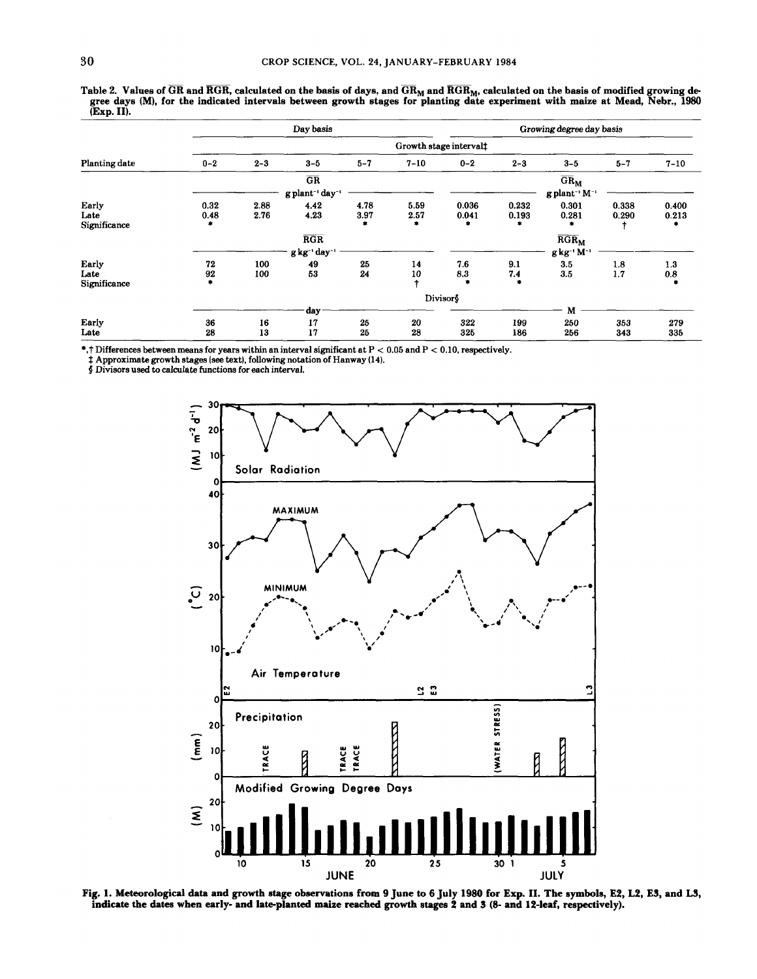|               |                                  |                                         | Day basis                  |         |                                    |         |         | Growing degree day basis                |         |          |  |  |  |  |
|---------------|----------------------------------|-----------------------------------------|----------------------------|---------|------------------------------------|---------|---------|-----------------------------------------|---------|----------|--|--|--|--|
|               | Growth stage interval $\ddagger$ |                                         |                            |         |                                    |         |         |                                         |         |          |  |  |  |  |
| Planting date | $0 - 2$                          | $2 - 3$                                 | $3 - 5$                    | $5 - 7$ | $7 - 10$                           | $0 - 2$ | $2 - 3$ | $3 - 5$                                 | $5 - 7$ | $7 - 10$ |  |  |  |  |
|               |                                  |                                         | $\overline{\text{GR}}$     |         |                                    |         |         | $\overline{\text{GR}}_{\text{M}}$       |         |          |  |  |  |  |
|               |                                  | g plant <sup>-1</sup> day <sup>-1</sup> |                            |         |                                    |         |         | $g$ plant <sup>-1</sup> M <sup>-1</sup> |         |          |  |  |  |  |
| Early         | 0.32                             | 2.88                                    | 4.42                       | 4.78    | 5.59                               | 0.036   | 0.232   | 0.301                                   | 0.338   | 0.400    |  |  |  |  |
| Late          | 0.48                             | 2.76                                    | 4.23                       | 3.97    | 2.57                               | 0.041   | 0.193   | 0.281                                   | 0.290   | 0.213    |  |  |  |  |
| Significance  |                                  |                                         |                            | ۰       | ۰                                  |         |         |                                         |         | ٠        |  |  |  |  |
|               |                                  |                                         | RGR                        |         | $\overline{\text{RGR}}_{\text{M}}$ |         |         |                                         |         |          |  |  |  |  |
|               |                                  | g kg <sup>-</sup> ' M <sup>-</sup>      |                            |         |                                    |         |         |                                         |         |          |  |  |  |  |
| Early         | 72                               | 100                                     | $g kg^{-1} day^{-1}$<br>49 | 25      | 14                                 | 7.6     | 9.1     | 3.5                                     | 1.8     | 1.3      |  |  |  |  |
| Late          | 92                               | 100                                     | 53                         | 24      | 10                                 | 8.3     | 7.4     | 3.5                                     | 1.7     | 0.8      |  |  |  |  |
| Significance  |                                  |                                         |                            |         |                                    |         |         |                                         |         |          |  |  |  |  |
|               |                                  | Divisor§                                |                            |         |                                    |         |         |                                         |         |          |  |  |  |  |
|               |                                  |                                         | day                        |         |                                    |         |         | M                                       |         |          |  |  |  |  |
| Early         | 36                               | 16                                      | 17                         | 25      | 20                                 | 322     | 199     | 250                                     | 353     | 279      |  |  |  |  |
| Late          | 28                               | 13                                      | 17                         | 25      | 28                                 | 325     | 186     | 256                                     | 343     | 335      |  |  |  |  |

Table 2. Values of  $\overline{GR}$  and  $\overline{RGR}$ , calculated on the basis of days, and  $\overline{GR}_M$  and  $\overline{RGR}_M$ , calculated on the basis of modified growing degree days (M), for the indicated intervals between growth stages for planting date experiment with maize at Mead, Nebr., 1980 (Exp. II).

\*,I' Differences between **means** for years within an interval significant at P < 0.05 and P < 0.10, respectively.

\$ Approximate growth stages (see text), following notation of Hanway (14). **<sup>4</sup>**Divisors used to calculate functions for each interval.



Fig. **1.** Meteorological data and gowth stage observations from **9** June to **6** July **1980** for Exp. **11.** The symbols, E4, L4, E3, and L3, indicate the dates when early- and late-planted maize reached growth stages 2 and 3 (8- and 12-leaf, respectively).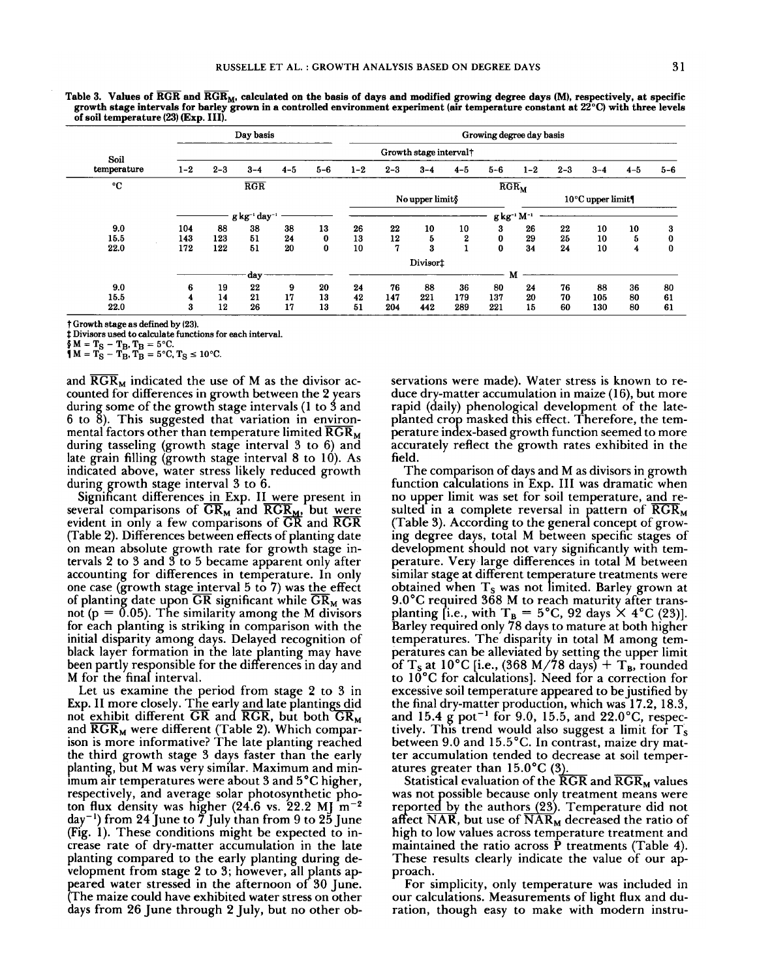|                                             | Growth stage interval† |                                                                                                       |                                    |          |          |              |                                 |                            |                                                     |          |          |          |  |  |
|---------------------------------------------|------------------------|-------------------------------------------------------------------------------------------------------|------------------------------------|----------|----------|--------------|---------------------------------|----------------------------|-----------------------------------------------------|----------|----------|----------|--|--|
| $3 - 4$                                     | $4 - 5$                | $5 - 6$                                                                                               | $1 - 2$                            | $2 - 3$  | $3 - 4$  | $4 - 5$      | $5 - 6$                         | $1 - 2$                    | $2 - 3$                                             | $3 - 4$  | $4 - 5$  | $5 - 6$  |  |  |
| RGR                                         |                        |                                                                                                       | $\overline{\text{RGR}}_{\text{M}}$ |          |          |              |                                 |                            |                                                     |          |          |          |  |  |
|                                             |                        |                                                                                                       | No upper limit§                    |          |          |              |                                 | $10^{\circ}$ C upper limit |                                                     |          |          |          |  |  |
|                                             |                        |                                                                                                       |                                    |          |          |              |                                 |                            |                                                     |          |          |          |  |  |
| 38                                          | 38                     |                                                                                                       |                                    |          |          |              |                                 |                            |                                                     |          |          | 3        |  |  |
| 51                                          |                        |                                                                                                       |                                    |          |          |              |                                 |                            |                                                     |          |          | 0        |  |  |
| 51                                          | 20                     | 0                                                                                                     | 10                                 | 7        | 3        | $\mathbf{1}$ | $\bf{0}$                        | 34                         | 24                                                  | 10       | 4        | $\bf{0}$ |  |  |
|                                             |                        |                                                                                                       |                                    |          |          |              |                                 |                            |                                                     |          |          |          |  |  |
| day                                         |                        |                                                                                                       |                                    |          |          |              |                                 |                            |                                                     |          |          |          |  |  |
| 22                                          | 9                      | 20                                                                                                    | 24                                 | 76       | 88       | 36           | 80                              | 24                         | 76                                                  | 88       | 36       | 80       |  |  |
| 21                                          | 17                     | 13                                                                                                    | 42                                 | 147      | 221      | 179          | 137                             | 20                         | 70                                                  | 105      | 80       | 61       |  |  |
| 26                                          | 17                     | 13                                                                                                    | 51                                 | 204      | 442      | 289          | 221                             | 15                         | 60                                                  | 130      | 80       | 61       |  |  |
|                                             |                        |                                                                                                       |                                    |          |          |              |                                 |                            |                                                     |          |          |          |  |  |
|                                             |                        |                                                                                                       |                                    |          |          |              |                                 |                            |                                                     |          |          |          |  |  |
|                                             |                        |                                                                                                       |                                    |          |          |              |                                 |                            |                                                     |          |          |          |  |  |
|                                             |                        |                                                                                                       |                                    |          |          |              |                                 |                            |                                                     |          |          |          |  |  |
| $2-3$<br>88<br>123<br>122<br>19<br>14<br>12 |                        | $\mathbf{g}\,\mathbf{kg}$ -1 day-1<br>24<br># Divisors used to calculate functions for each interval. | 13<br>0                            | 26<br>13 | 22<br>12 | 10<br>5      | 10<br>2<br>Divisor <sup>+</sup> | 3<br>$\pmb{0}$             | g kg <sup>-1</sup> M <sup>-1</sup><br>26<br>29<br>M | 22<br>25 | 10<br>10 | 10<br>5  |  |  |

**Table 3. Values of RGR and RGR<sub>M</sub>, calculated on the basis of days and modified growing degree days (M), respectively, at specific or out the specific or out of**  $\overline{RGR}$  **and**  $\overline{RGR}$ **<sub>M</sub>, calculated on the basis of days growth stage intervals for barley grown in a controlled environment experiment (air temperature constant at 22°C) with three levels of soil temperature (23) (Exp. 111).** 

and  $RGR_M$  indicated the use of M as the divisor accounted for differences in growth between the 2 years during some of the growth stage intervals (1 to 3 and  $6$  to  $8$ ). This suggested that variation in environduring some of the growth stage intervals (1 to 3 and<br>6 to 8). This suggested that variation in environ-<br>mental factors other than temperature limited  $\overline{RGR}_M$  per<br>during tasseling (growth stage interval 3 to 6) and mental factors other than temperature limited  $RGR_M$  during tasseling (growth stage interval 3 to 6) and late grain filling (growth stage interval 8 to 10). As indicated above, water stress likely reduced growth during growth stage interval 3 to 6.

Significant differences in Exp. II were present in several comparisons of  $\overline{GR}_M$  and  $\overline{RG}_{M}$ , but were evident in only a few comparisons of  $\overline{GR}$  and  $\overline{RGR}$ (Table 2). Differences between effects of planting date on mean absolute growth rate for growth stage intervals  $2$  to  $3$  and  $3$  to  $5$  became apparent only after accounting for differences in temperature. In only one case (growth stage interval 5 to 7) was the effect of planting date upon  $\overline{GR}$  significant while  $\overline{GR}_M$  was not ( $p = 0.05$ ). The similarity among the M divisors for each planting is striking in comparison with the initial disparity among days. Delayed recognition of black layer formation in the late planting may have been partly responsible for the differences in day and M for the final interval.

Let us examine the period from stage 2 to 3 in Exp. II more closely. The early and late plantings did not exhibit different GR and RGR, but both  $\overline{GR}_M$ Exp. II more closely. The early and late planting<u>s di</u>d<br>not exhibit different GR and RGR, but both GR<sub>M</sub><br>and RGR<sub>M</sub> were different (Table 2). Which compar-<br>ison is more informative? The late planting reached the third growth stage 3 days faster than the early planting, but M was very similar. Maximum and minimum air temperatures were about 3 and 5°C higher, respectively, and average solar photosynthetic photon flux density was higher  $(24.6 \text{ vs. } 22.2 \text{ MJ } m^{-2})$  $\frac{day^{-1}}{$  from 24 June to  $\frac{7}{7}$  July than from 9 to 25 June (Fig. 1). These conditions might be expected to increase rate of dry-matter accumulation in the late planting compared to the early planting during development from stage 2 to 3; however, all plants apeared water stressed in the afternoon of 30 June. *<sup>P</sup>*The maize could have exhibited water stress on other days from 26 June through 2 July, but no other observations were made). Water stress is known to reduce dry-matter accumulation in maize  $(16)$ , but more rapid (daily) phenological development of the lateplanted crop masked this effect. Therefore, the temperature index-based growth function seemed to more accurately reflect the growth rates exhibited in the field.

The comparison of days and M as divisors in growth function calculations in Exp. I11 was dramatic when no upper limit was set for soil temperature, and resulted in a complete reversal in pattern of  $\overline{RGR}_{M}$ (Table 3). According to the general concept of growing degree days, total M between specific stages of development should not vary significantly with temperature. Very large differences in total M between similar stage at different temperature treatments were obtained when  $T_s$  was not limited. Barley grown at 9.0°C required 368 M to reach maturity after transplanting [i.e., with  $T_B = 5^{\circ}C$ , 92 days  $\times$  4°C (23)]. Barley required only 78 days to mature at both higher temperatures. The disparity in total M among temperatures can be alleviated by setting the upper limit of T<sub>s</sub> at 10°C [i.e., (368 M/78 days) + T<sub>B</sub>, rounded to 10°C for calculations]. Need for a correction for excessive soil temperature appeared to be justified by the final dry-matter production, which was 17.2, 18.3, and 15.4 **g** pot-' for 9.0, 15.5, and 22.0°C, respectively. This trend would also suggest a limit for  $T_s$ between 9.0 and 15.5"C. In contrast, maize dry matter accumulation tended to decrease at soil temper-<br>atures greater than  $15.0^{\circ}C(3)$ . excessive soli temperature appeared to be justined by<br>the final dry-matter production, which was 17.2, 18.3,<br>and 15.4 g pot<sup>-1</sup> for 9.0, 15.5, and 22.0°C, respec-<br>tively. This trend would also suggest a limit for  $T_s$ <br>bet

Statistical evaluation of the  $\overline{\text{RGR}}$  and  $\overline{\text{RGR}}_M$  values was not possible because only treatment means were reported by the authors (23). Temperature did not affect  $\overline{\text{NAR}}$ , but use of  $\overline{\text{NAR}}_M$  decreased the ratio of high to low values across temperature treatment and maintained the ratio across  $\tilde{P}$  treatments (Table 4). These results clearly indicate the value of our approach.

For simplicity, only temperature was included in our calculations. Measurements of light flux and duration, though easy to make with modern instru-